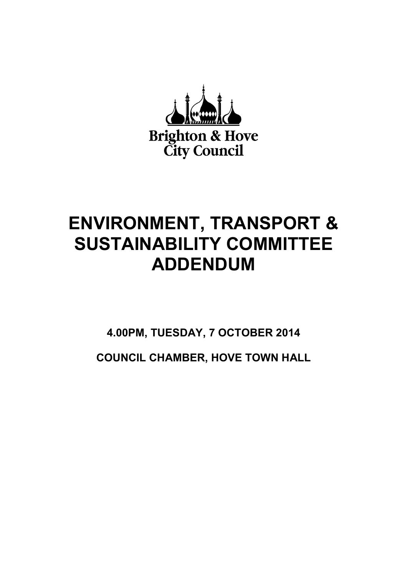

## **ENVIRONMENT, TRANSPORT & SUSTAINABILITY COMMITTEE ADDENDUM**

**4.00PM, TUESDAY, 7 OCTOBER 2014** 

**COUNCIL CHAMBER, HOVE TOWN HALL**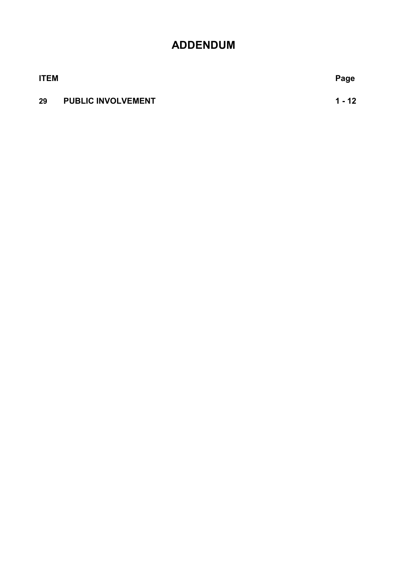## **ADDENDUM**

**ITEM Page**

### **29 PUBLIC INVOLVEMENT 1 - 12**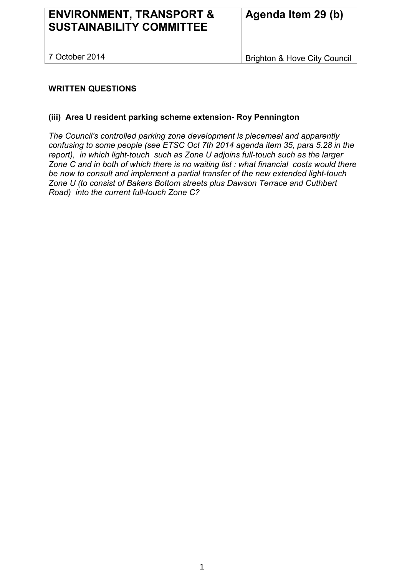## **ENVIRONMENT, TRANSPORT & SUSTAINABILITY COMMITTEE**

7 October 2014

Brighton & Hove City Council

#### **WRITTEN QUESTIONS**

#### **(iii) Area U resident parking scheme extension- Roy Pennington**

*The Council's controlled parking zone development is piecemeal and apparently confusing to some people (see ETSC Oct 7th 2014 agenda item 35, para 5.28 in the report), in which light-touch such as Zone U adjoins full-touch such as the larger Zone C and in both of which there is no waiting list : what financial costs would there be now to consult and implement a partial transfer of the new extended light-touch Zone U (to consist of Bakers Bottom streets plus Dawson Terrace and Cuthbert Road) into the current full-touch Zone C?*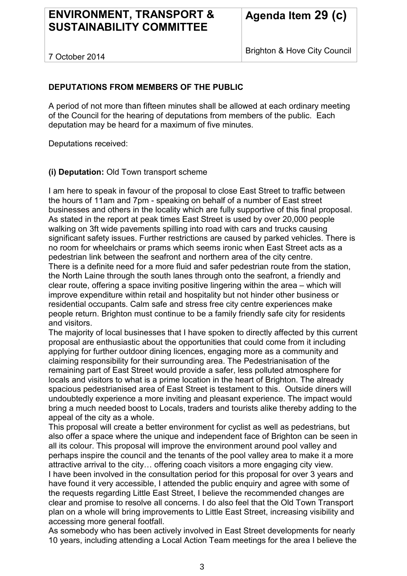## **ENVIRONMENT, TRANSPORT & SUSTAINABILITY COMMITTEE**

7 October 2014

Brighton & Hove City Council

#### **DEPUTATIONS FROM MEMBERS OF THE PUBLIC**

A period of not more than fifteen minutes shall be allowed at each ordinary meeting of the Council for the hearing of deputations from members of the public. Each deputation may be heard for a maximum of five minutes.

Deputations received:

**(i) Deputation:** Old Town transport scheme

I am here to speak in favour of the proposal to close East Street to traffic between the hours of 11am and 7pm - speaking on behalf of a number of East street businesses and others in the locality which are fully supportive of this final proposal. As stated in the report at peak times East Street is used by over 20,000 people walking on 3ft wide pavements spilling into road with cars and trucks causing significant safety issues. Further restrictions are caused by parked vehicles. There is no room for wheelchairs or prams which seems ironic when East Street acts as a pedestrian link between the seafront and northern area of the city centre.

There is a definite need for a more fluid and safer pedestrian route from the station, the North Laine through the south lanes through onto the seafront, a friendly and clear route, offering a space inviting positive lingering within the area – which will improve expenditure within retail and hospitality but not hinder other business or residential occupants. Calm safe and stress free city centre experiences make people return. Brighton must continue to be a family friendly safe city for residents and visitors.

The majority of local businesses that I have spoken to directly affected by this current proposal are enthusiastic about the opportunities that could come from it including applying for further outdoor dining licences, engaging more as a community and claiming responsibility for their surrounding area. The Pedestrianisation of the remaining part of East Street would provide a safer, less polluted atmosphere for locals and visitors to what is a prime location in the heart of Brighton. The already spacious pedestrianised area of East Street is testament to this. Outside diners will undoubtedly experience a more inviting and pleasant experience. The impact would bring a much needed boost to Locals, traders and tourists alike thereby adding to the appeal of the city as a whole.

This proposal will create a better environment for cyclist as well as pedestrians, but also offer a space where the unique and independent face of Brighton can be seen in all its colour. This proposal will improve the environment around pool valley and perhaps inspire the council and the tenants of the pool valley area to make it a more attractive arrival to the city… offering coach visitors a more engaging city view. I have been involved in the consultation period for this proposal for over 3 years and have found it very accessible. I attended the public enquiry and agree with some of the requests regarding Little East Street, I believe the recommended changes are clear and promise to resolve all concerns. I do also feel that the Old Town Transport plan on a whole will bring improvements to Little East Street, increasing visibility and accessing more general footfall.

As somebody who has been actively involved in East Street developments for nearly 10 years, including attending a Local Action Team meetings for the area I believe the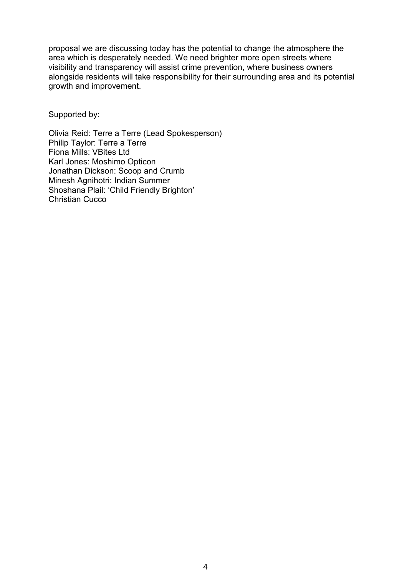proposal we are discussing today has the potential to change the atmosphere the area which is desperately needed. We need brighter more open streets where visibility and transparency will assist crime prevention, where business owners alongside residents will take responsibility for their surrounding area and its potential growth and improvement.

Supported by:

Olivia Reid: Terre a Terre (Lead Spokesperson) Philip Taylor: Terre a Terre Fiona Mills: VBites Ltd Karl Jones: Moshimo Opticon Jonathan Dickson: Scoop and Crumb Minesh Agnihotri: Indian Summer Shoshana Plail: 'Child Friendly Brighton' Christian Cucco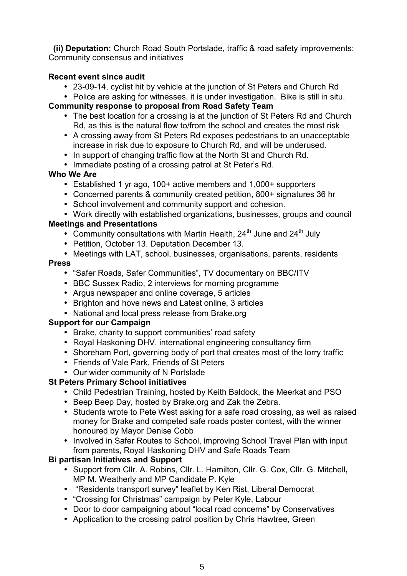**(ii) Deputation:** Church Road South Portslade, traffic & road safety improvements: Community consensus and initiatives

#### **Recent event since audit**

- 23-09-14, cyclist hit by vehicle at the junction of St Peters and Church Rd
- Police are asking for witnesses, it is under investigation. Bike is still in situ.

#### **Community response to proposal from Road Safety Team**

- The best location for a crossing is at the junction of St Peters Rd and Church Rd, as this is the natural flow to/from the school and creates the most risk
- A crossing away from St Peters Rd exposes pedestrians to an unacceptable increase in risk due to exposure to Church Rd, and will be underused.
- In support of changing traffic flow at the North St and Church Rd.
- Immediate posting of a crossing patrol at St Peter's Rd.

#### **Who We Are**

- Established 1 yr ago, 100+ active members and 1,000+ supporters
- Concerned parents & community created petition, 800+ signatures 36 hr
- School involvement and community support and cohesion.
- Work directly with established organizations, businesses, groups and council

#### **Meetings and Presentations**

- Community consultations with Martin Health,  $24<sup>th</sup>$  June and  $24<sup>th</sup>$  July
- Petition, October 13. Deputation December 13.
- Meetings with LAT, school, businesses, organisations, parents, residents

#### **Press**

- "Safer Roads, Safer Communities", TV documentary on BBC/ITV
- BBC Sussex Radio, 2 interviews for morning programme
- Argus newspaper and online coverage, 5 articles
- Brighton and hove news and Latest online, 3 articles
- National and local press release from Brake.org

#### **Support for our Campaign**

- Brake, charity to support communities' road safety
- Royal Haskoning DHV, international engineering consultancy firm
- Shoreham Port, governing body of port that creates most of the lorry traffic
- Friends of Vale Park, Friends of St Peters
- Our wider community of N Portslade

#### **St Peters Primary School initiatives**

- Child Pedestrian Training, hosted by Keith Baldock, the Meerkat and PSO
- Beep Beep Day, hosted by Brake.org and Zak the Zebra.
- Students wrote to Pete West asking for a safe road crossing, as well as raised money for Brake and competed safe roads poster contest, with the winner honoured by Mayor Denise Cobb
- Involved in Safer Routes to School, improving School Travel Plan with input from parents, Royal Haskoning DHV and Safe Roads Team

#### **Bi partisan Initiatives and Support**

- Support from Cllr. A. Robins, Cllr. L. Hamilton, Cllr. G. Cox, Cllr. G. Mitchell**,**  MP M. Weatherly and MP Candidate P. Kyle
- "Residents transport survey" leaflet by Ken Rist, Liberal Democrat
- "Crossing for Christmas" campaign by Peter Kyle, Labour
- Door to door campaigning about "local road concerns" by Conservatives
- Application to the crossing patrol position by Chris Hawtree, Green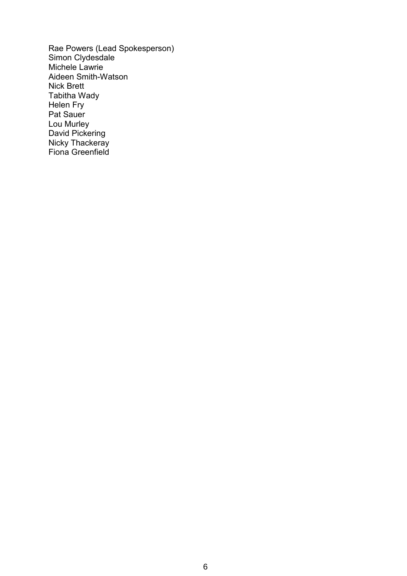Rae Powers (Lead Spokesperson) Simon Clydesdale Michele Lawrie Aideen Smith-Watson Nick Brett Tabitha Wady Helen Fry Pat Sauer Lou Murley David Pickering Nicky Thackeray Fiona Greenfield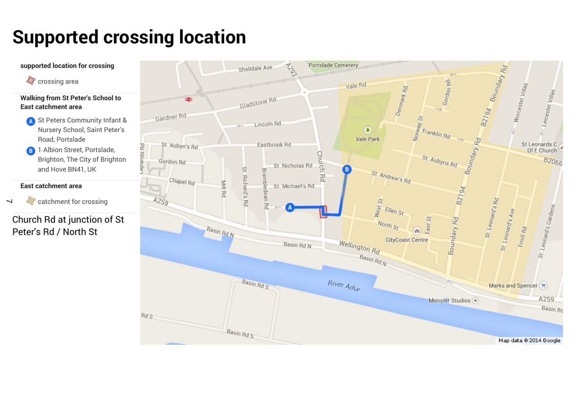# **Supported crossing location**

 $\overline{\phantom{0}}$ 

 $\bullet$ 

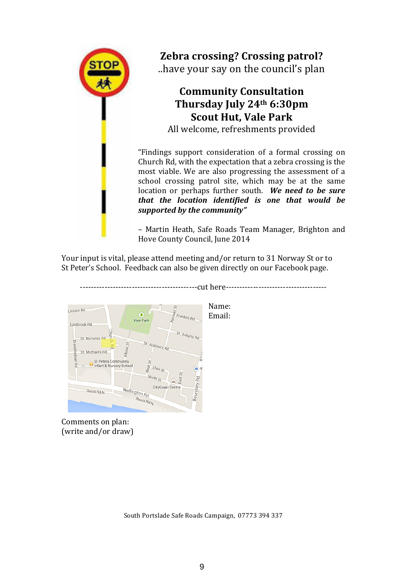

**Zebra crossing? Crossing patrol?** 

..have your say on the council's plan

## **Community&Consultation** Thursday July 24<sup>th</sup> 6:30pm **Scout Hut, Vale Park**

All welcome, refreshments provided

"Findings support consideration of a formal crossing on Church Rd, with the expectation that a zebra crossing is the most viable. We are also progressing the assessment of a school crossing patrol site, which may be at the same location or perhaps further south. We need to be sure *that# the# location# identified# is# one# that# would# be#* supported by the community"

– Martin! Heath,! Safe! Roads! Team! Manager,! Brighton! and! Hove County Council, June 2014

Your input is vital, please attend meeting and/or return to 31 Norway St or to St Peter's School. Feedback can also be given directly on our Facebook page.



Comments on plan: (write and/or draw)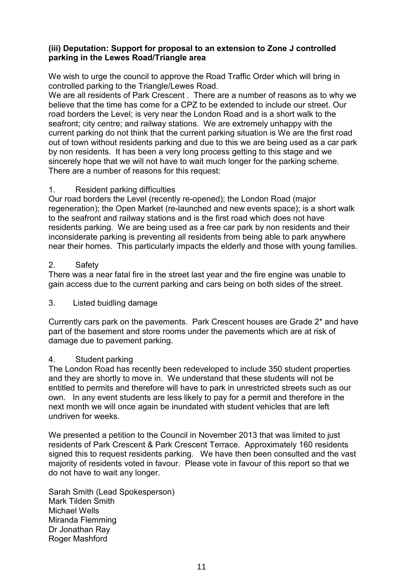#### **(iii) Deputation: Support for proposal to an extension to Zone J controlled parking in the Lewes Road/Triangle area**

We wish to urge the council to approve the Road Traffic Order which will bring in controlled parking to the Triangle/Lewes Road.

We are all residents of Park Crescent . There are a number of reasons as to why we believe that the time has come for a CPZ to be extended to include our street. Our road borders the Level; is very near the London Road and is a short walk to the seafront; city centre; and railway stations. We are extremely unhappy with the current parking do not think that the current parking situation is We are the first road out of town without residents parking and due to this we are being used as a car park by non residents. It has been a very long process getting to this stage and we sincerely hope that we will not have to wait much longer for the parking scheme. There are a number of reasons for this request:

#### 1. Resident parking difficulties

Our road borders the Level (recently re-opened); the London Road (major regeneration); the Open Market (re-launched and new events space); is a short walk to the seafront and railway stations and is the first road which does not have residents parking. We are being used as a free car park by non residents and their inconsiderate parking is preventing all residents from being able to park anywhere near their homes. This particularly impacts the elderly and those with young families.

#### 2. Safety

There was a near fatal fire in the street last year and the fire engine was unable to gain access due to the current parking and cars being on both sides of the street.

#### 3. Listed buidling damage

Currently cars park on the pavements. Park Crescent houses are Grade 2\* and have part of the basement and store rooms under the pavements which are at risk of damage due to pavement parking.

#### 4. Student parking

The London Road has recently been redeveloped to include 350 student properties and they are shortly to move in. We understand that these students will not be entitled to permits and therefore will have to park in unrestricted streets such as our own. In any event students are less likely to pay for a permit and therefore in the next month we will once again be inundated with student vehicles that are left undriven for weeks.

We presented a petition to the Council in November 2013 that was limited to just residents of Park Crescent & Park Crescent Terrace. Approximately 160 residents signed this to request residents parking. We have then been consulted and the vast majority of residents voted in favour. Please vote in favour of this report so that we do not have to wait any longer.

Sarah Smith (Lead Spokesperson) Mark Tilden Smith Michael Wells Miranda Flemming Dr Jonathan Ray Roger Mashford